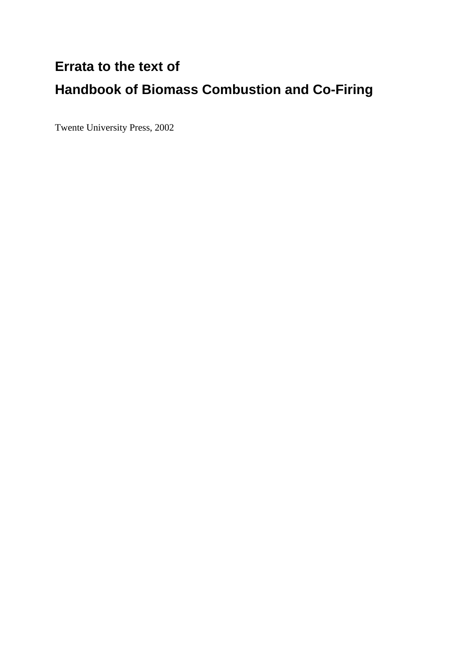## **Errata to the text of Handbook of Biomass Combustion and Co-Firing**

Twente University Press, 2002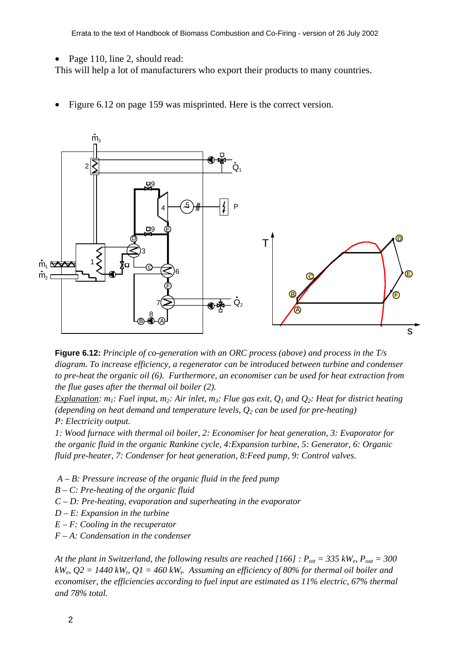Page 110, line 2, should read:

This will help a lot of manufacturers who export their products to many countries.

Figure 6.12 on page 159 was misprinted. Here is the correct version.



**Figure 6.12:** *Principle of co-generation with an ORC process (above) and process in the T/s diagram. To increase efficiency, a regenerator can be introduced between turbine and condenser to pre-heat the organic oil (6). Furthermore, an economiser can be used for heat extraction from the flue gases after the thermal oil boiler (2).*

*Explanation:*  $m_1$ : Fuel input,  $m_2$ : Air inlet,  $m_3$ : Flue gas exit,  $Q_1$  and  $Q_2$ : Heat for district heating *(depending on heat demand and temperature levels, Q2 can be used for pre-heating) P: Electricity output.*

*1: Wood furnace with thermal oil boiler, 2: Economiser for heat generation, 3: Evaporator for the organic fluid in the organic Rankine cycle, 4:Expansion turbine, 5: Generator, 6: Organic fluid pre-heater, 7: Condenser for heat generation, 8:Feed pump, 9: Control valves.*

- *A B: Pressure increase of the organic fluid in the feed pump*
- *B C: Pre-heating of the organic fluid*
- *C D: Pre-heating, evaporation and superheating in the evaporator*
- *D E: Expansion in the turbine*
- *E F: Cooling in the recuperator*
- *F A: Condensation in the condenser*

*At the plant in Switzerland, the following results are reached [166] :*  $P_{tot} = 335 \text{ kW}_e$ *,*  $P_{out} = 300$  $kW_e$ ,  $Q2 = 1440$  kW<sub>t</sub>,  $Q1 = 460$  kW<sub>t</sub>. Assuming an efficiency of 80% for thermal oil boiler and *economiser, the efficiencies according to fuel input are estimated as 11% electric, 67% thermal and 78% total.*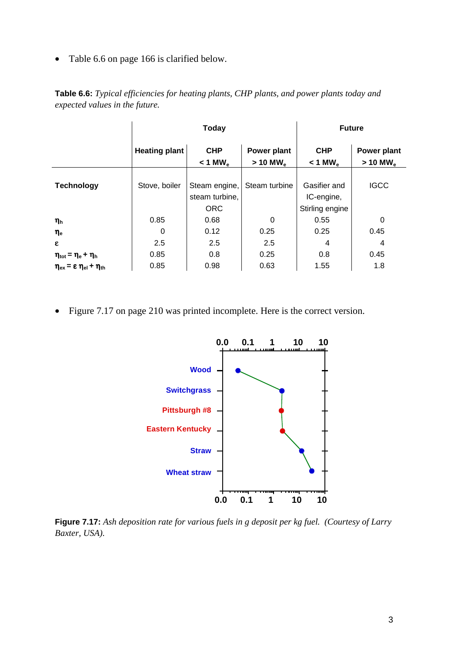• Table 6.6 on page 166 is clarified below.

|                                                                      | <b>Today</b>         |                       |                        | <b>Future</b>         |                        |
|----------------------------------------------------------------------|----------------------|-----------------------|------------------------|-----------------------|------------------------|
|                                                                      | <b>Heating plant</b> | <b>CHP</b>            | Power plant            | <b>CHP</b>            | Power plant            |
|                                                                      |                      | $< 1$ MW <sub>e</sub> | $> 10$ MW <sub>e</sub> | $< 1$ MW <sub>e</sub> | $>$ 10 MW <sub>e</sub> |
|                                                                      |                      |                       |                        |                       |                        |
| <b>Technology</b>                                                    | Stove, boiler        | Steam engine,         | Steam turbine          | Gasifier and          | <b>IGCC</b>            |
|                                                                      |                      | steam turbine,        |                        | IC-engine,            |                        |
|                                                                      |                      | <b>ORC</b>            |                        | Stirling engine       |                        |
| $\eta_h$                                                             | 0.85                 | 0.68                  | 0                      | 0.55                  | 0                      |
| $\eta_{\sf e}$                                                       | 0                    | 0.12                  | 0.25                   | 0.25                  | 0.45                   |
| ε                                                                    | 2.5                  | 2.5                   | 2.5                    | 4                     | 4                      |
| $\eta_{\text{tot}} = \eta_{\text{e}} + \eta_{\text{h}}$              | 0.85                 | 0.8                   | 0.25                   | 0.8                   | 0.45                   |
| $\eta_{\text{ex}} = \varepsilon \eta_{\text{el}} + \eta_{\text{th}}$ | 0.85                 | 0.98                  | 0.63                   | 1.55                  | 1.8                    |

**Table 6.6:** *Typical efficiencies for heating plants, CHP plants, and power plants today and expected values in the future.*

• Figure 7.17 on page 210 was printed incomplete. Here is the correct version.



**Figure 7.17:** *Ash deposition rate for various fuels in g deposit per kg fuel. (Courtesy of Larry Baxter, USA).*